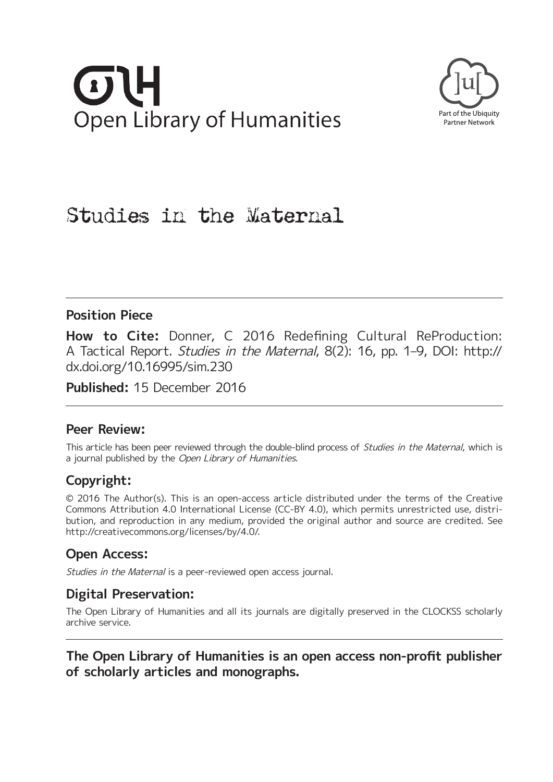# **Open Library of Humanities**



# Studies in the Maternal

## **Position Piece**

**How to Cite:** Donner, C 2016 Redefining Cultural ReProduction: A Tactical Report. Studies in the Maternal, 8(2): 16, pp. 1–9, DOI: [http://](http://dx.doi.org/10.16995/sim.230) [dx.doi.org/10.16995/sim.230](http://dx.doi.org/10.16995/sim.230)

**Published:** 15 December 2016

## **Peer Review:**

This article has been peer reviewed through the double-blind process of Studies in the Maternal, which is a journal published by the Open Library of Humanities.

# **Copyright:**

© 2016 The Author(s). This is an open-access article distributed under the terms of the Creative Commons Attribution 4.0 International License (CC-BY 4.0), which permits unrestricted use, distribution, and reproduction in any medium, provided the original author and source are credited. See <http://creativecommons.org/licenses/by/4.0/>.

## **Open Access:**

Studies in the Maternal is a peer-reviewed open access journal.

## **Digital Preservation:**

The Open Library of Humanities and all its journals are digitally preserved in the CLOCKSS scholarly archive service.

**The Open Library of Humanities is an open access non-profit publisher of scholarly articles and monographs.**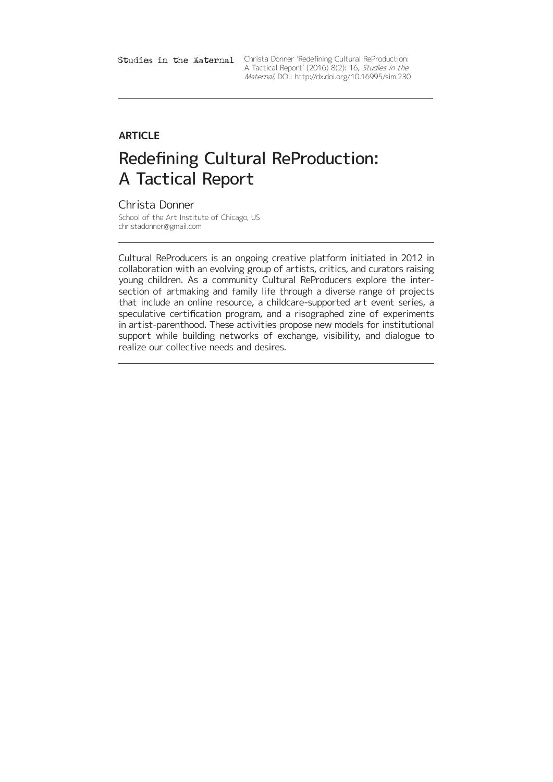Studies in the Maternal Christa Donner Redefining Cultural ReProduction: A Tactical Report' (2016) 8(2): 16, Studies in the Maternal, DOI:<http://dx.doi.org/10.16995/sim.230>

# **ARTICLE**

# Redefining Cultural ReProduction: A Tactical Report

Christa Donner

School of the Art Institute of Chicago, US [christadonner@gmail.com](mailto:christadonner@gmail.com)

Cultural ReProducers is an ongoing creative platform initiated in 2012 in collaboration with an evolving group of artists, critics, and curators raising young children. As a community Cultural ReProducers explore the intersection of artmaking and family life through a diverse range of projects that include an online resource, a childcare-supported art event series, a speculative certification program, and a risographed zine of experiments in artist-parenthood. These activities propose new models for institutional support while building networks of exchange, visibility, and dialogue to realize our collective needs and desires.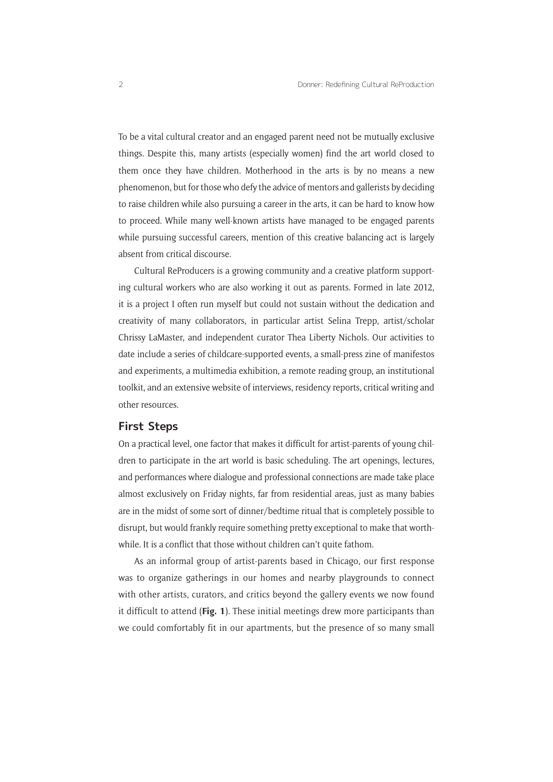To be a vital cultural creator and an engaged parent need not be mutually exclusive things. Despite this, many artists (especially women) find the art world closed to them once they have children. Motherhood in the arts is by no means a new phenomenon, but for those who defy the advice of mentors and gallerists by deciding to raise children while also pursuing a career in the arts, it can be hard to know how to proceed. While many well-known artists have managed to be engaged parents while pursuing successful careers, mention of this creative balancing act is largely absent from critical discourse.

Cultural ReProducers is a growing community and a creative platform supporting cultural workers who are also working it out as parents. Formed in late 2012, it is a project I often run myself but could not sustain without the dedication and creativity of many collaborators, in particular artist Selina Trepp, artist/scholar Chrissy LaMaster, and independent curator Thea Liberty Nichols. Our activities to date include a series of childcare-supported events, a small-press zine of manifestos and experiments, a multimedia exhibition, a remote reading group, an institutional toolkit, and an extensive website of interviews, residency reports, critical writing and other resources.

## **First Steps**

On a practical level, one factor that makes it difficult for artist-parents of young children to participate in the art world is basic scheduling. The art openings, lectures, and performances where dialogue and professional connections are made take place almost exclusively on Friday nights, far from residential areas, just as many babies are in the midst of some sort of dinner/bedtime ritual that is completely possible to disrupt, but would frankly require something pretty exceptional to make that worthwhile. It is a conflict that those without children can't quite fathom.

As an informal group of artist-parents based in Chicago, our first response was to organize gatherings in our homes and nearby playgrounds to connect with other artists, curators, and critics beyond the gallery events we now found it difficult to attend (**Fig. 1**). These initial meetings drew more participants than we could comfortably fit in our apartments, but the presence of so many small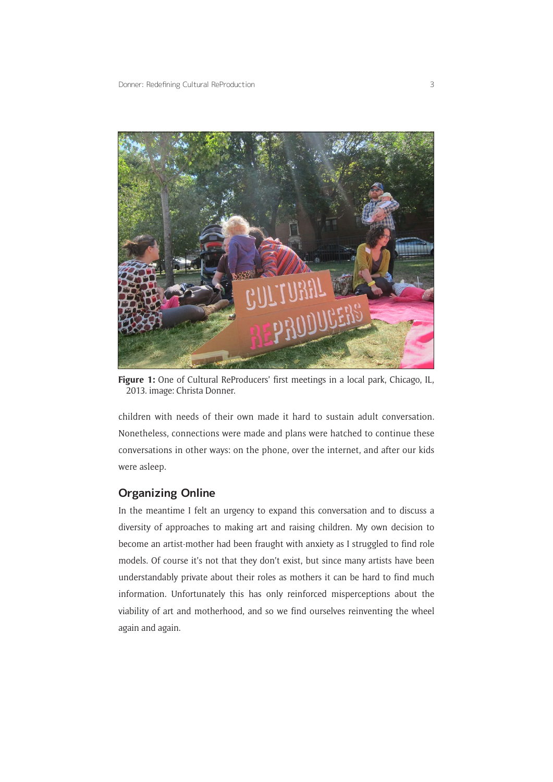

Figure 1: One of Cultural ReProducers' first meetings in a local park, Chicago, IL, 2013. image: Christa Donner.

children with needs of their own made it hard to sustain adult conversation. Nonetheless, connections were made and plans were hatched to continue these conversations in other ways: on the phone, over the internet, and after our kids were asleep.

## **Organizing Online**

In the meantime I felt an urgency to expand this conversation and to discuss a diversity of approaches to making art and raising children. My own decision to become an artist-mother had been fraught with anxiety as I struggled to find role models. Of course it's not that they don't exist, but since many artists have been understandably private about their roles as mothers it can be hard to find much information. Unfortunately this has only reinforced misperceptions about the viability of art and motherhood, and so we find ourselves reinventing the wheel again and again.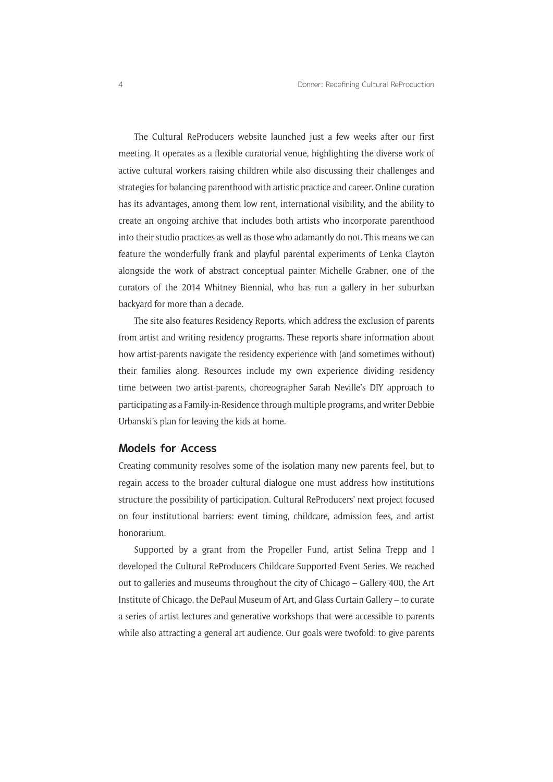The Cultural ReProducers website launched just a few weeks after our first meeting. It operates as a flexible curatorial venue, highlighting the diverse work of active cultural workers raising children while also discussing their challenges and strategies for balancing parenthood with artistic practice and career. Online curation has its advantages, among them low rent, international visibility, and the ability to create an ongoing archive that includes both artists who incorporate parenthood into their studio practices as well as those who adamantly do not. This means we can feature the wonderfully frank and playful parental experiments of Lenka Clayton alongside the work of abstract conceptual painter Michelle Grabner, one of the curators of the 2014 Whitney Biennial, who has run a gallery in her suburban backyard for more than a decade.

The site also features Residency Reports, which address the exclusion of parents from artist and writing residency programs. These reports share information about how artist-parents navigate the residency experience with (and sometimes without) their families along. Resources include my own experience dividing residency time between two artist-parents, choreographer Sarah Neville's DIY approach to participating as a Family-in-Residence through multiple programs, and writer Debbie Urbanski's plan for leaving the kids at home.

#### **Models for Access**

Creating community resolves some of the isolation many new parents feel, but to regain access to the broader cultural dialogue one must address how institutions structure the possibility of participation. Cultural ReProducers' next project focused on four institutional barriers: event timing, childcare, admission fees, and artist honorarium.

Supported by a grant from the Propeller Fund, artist Selina Trepp and I developed the Cultural ReProducers Childcare-Supported Event Series. We reached out to galleries and museums throughout the city of Chicago – Gallery 400, the Art Institute of Chicago, the DePaul Museum of Art, and Glass Curtain Gallery – to curate a series of artist lectures and generative workshops that were accessible to parents while also attracting a general art audience. Our goals were twofold: to give parents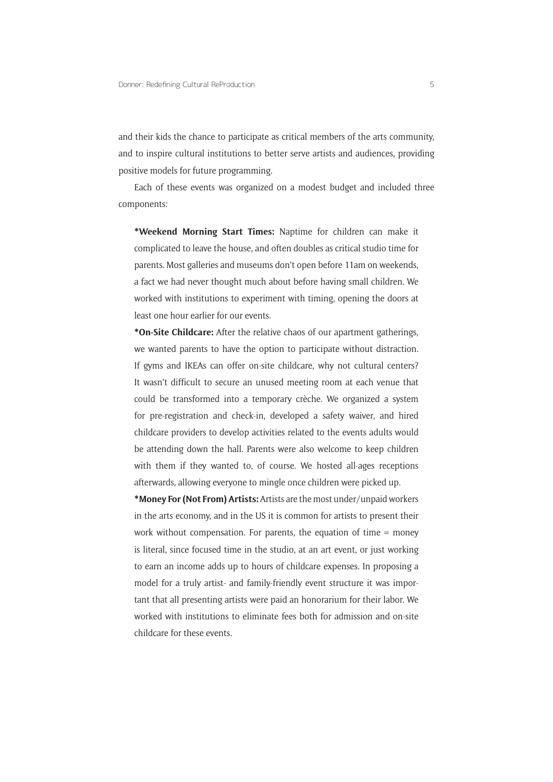and their kids the chance to participate as critical members of the arts community, and to inspire cultural institutions to better serve artists and audiences, providing positive models for future programming.

Each of these events was organized on a modest budget and included three components:

**\*Weekend Morning Start Times:** Naptime for children can make it complicated to leave the house, and often doubles as critical studio time for parents. Most galleries and museums don't open before 11am on weekends, a fact we had never thought much about before having small children. We worked with institutions to experiment with timing, opening the doors at least one hour earlier for our events.

**\*On-Site Childcare:** After the relative chaos of our apartment gatherings, we wanted parents to have the option to participate without distraction. If gyms and IKEAs can offer on-site childcare, why not cultural centers? It wasn't difficult to secure an unused meeting room at each venue that could be transformed into a temporary crèche. We organized a system for pre-registration and check-in, developed a safety waiver, and hired childcare providers to develop activities related to the events adults would be attending down the hall. Parents were also welcome to keep children with them if they wanted to, of course. We hosted all-ages receptions afterwards, allowing everyone to mingle once children were picked up.

**\*Money For (Not From) Artists:** Artists are the most under/unpaid workers in the arts economy, and in the US it is common for artists to present their work without compensation. For parents, the equation of time = money is literal, since focused time in the studio, at an art event, or just working to earn an income adds up to hours of childcare expenses. In proposing a model for a truly artist- and family-friendly event structure it was important that all presenting artists were paid an honorarium for their labor. We worked with institutions to eliminate fees both for admission and on-site childcare for these events.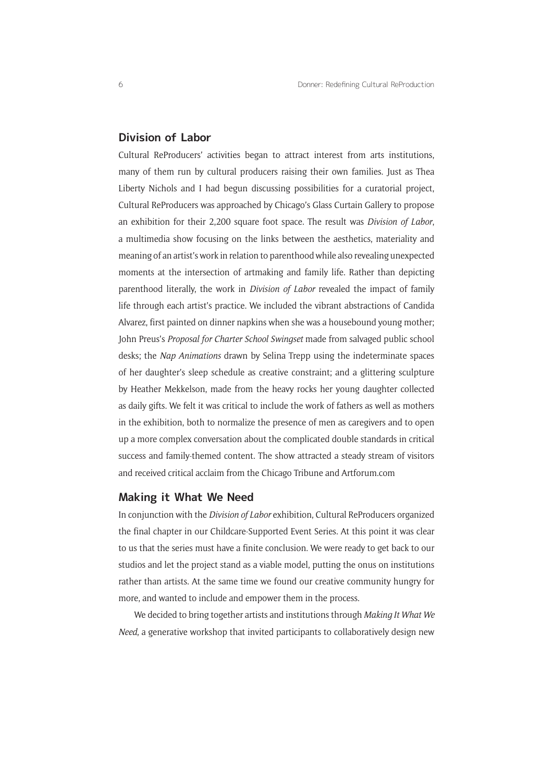## **Division of Labor**

Cultural ReProducers' activities began to attract interest from arts institutions, many of them run by cultural producers raising their own families. Just as Thea Liberty Nichols and I had begun discussing possibilities for a curatorial project, Cultural ReProducers was approached by Chicago's Glass Curtain Gallery to propose an exhibition for their 2,200 square foot space. The result was *Division of Labor*, a multimedia show focusing on the links between the aesthetics, materiality and meaning of an artist's work in relation to parenthood while also revealing unexpected moments at the intersection of artmaking and family life. Rather than depicting parenthood literally, the work in *Division of Labor* revealed the impact of family life through each artist's practice. We included the vibrant abstractions of Candida Alvarez, first painted on dinner napkins when she was a housebound young mother; John Preus's *Proposal for Charter School Swingset* made from salvaged public school desks; the *Nap Animations* drawn by Selina Trepp using the indeterminate spaces of her daughter's sleep schedule as creative constraint; and a glittering sculpture by Heather Mekkelson, made from the heavy rocks her young daughter collected as daily gifts. We felt it was critical to include the work of fathers as well as mothers in the exhibition, both to normalize the presence of men as caregivers and to open up a more complex conversation about the complicated double standards in critical success and family-themed content. The show attracted a steady stream of visitors and received critical acclaim from the Chicago Tribune and <Artforum.com>

#### **Making it What We Need**

In conjunction with the *Division of Labor* exhibition, Cultural ReProducers organized the final chapter in our Childcare-Supported Event Series. At this point it was clear to us that the series must have a finite conclusion. We were ready to get back to our studios and let the project stand as a viable model, putting the onus on institutions rather than artists. At the same time we found our creative community hungry for more, and wanted to include and empower them in the process.

We decided to bring together artists and institutions through *Making It What We Need*, a generative workshop that invited participants to collaboratively design new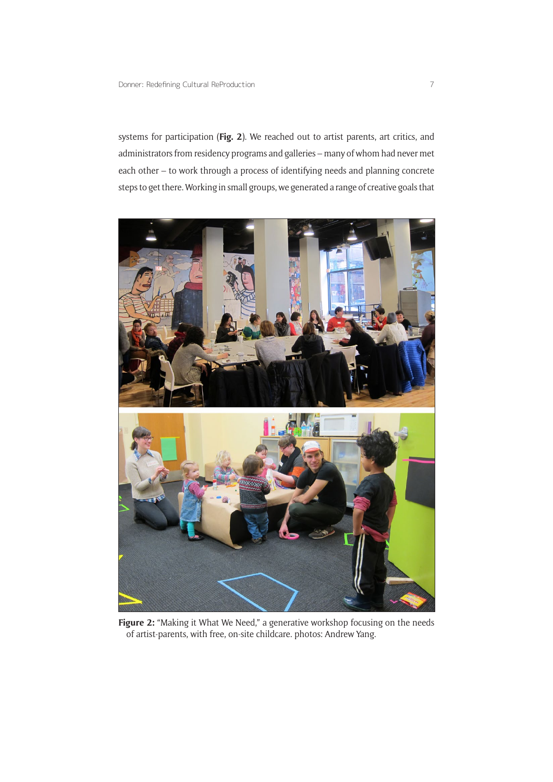systems for participation (**Fig. 2**). We reached out to artist parents, art critics, and administrators from residency programs and galleries – many of whom had never met each other – to work through a process of identifying needs and planning concrete steps to get there. Working in small groups, we generated a range of creative goals that



Figure 2: "Making it What We Need," a generative workshop focusing on the needs of artist-parents, with free, on-site childcare. photos: Andrew Yang.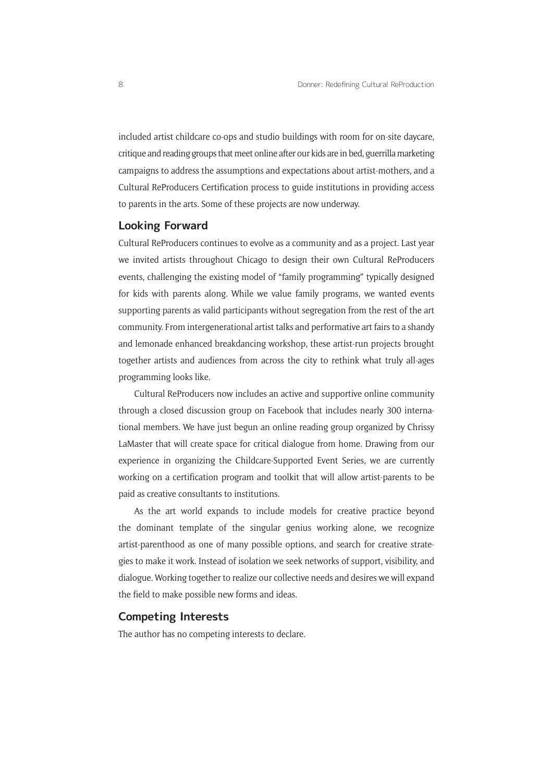included artist childcare co-ops and studio buildings with room for on-site daycare, critique and reading groups that meet online after our kids are in bed, guerrilla marketing campaigns to address the assumptions and expectations about artist-mothers, and a Cultural ReProducers Certification process to guide institutions in providing access to parents in the arts. Some of these projects are now underway.

### **Looking Forward**

Cultural ReProducers continues to evolve as a community and as a project. Last year we invited artists throughout Chicago to design their own Cultural ReProducers events, challenging the existing model of "family programming" typically designed for kids with parents along. While we value family programs, we wanted events supporting parents as valid participants without segregation from the rest of the art community. From intergenerational artist talks and performative art fairs to a shandy and lemonade enhanced breakdancing workshop, these artist-run projects brought together artists and audiences from across the city to rethink what truly all-ages programming looks like.

Cultural ReProducers now includes an active and supportive online community through a closed discussion group on Facebook that includes nearly 300 international members. We have just begun an online reading group organized by Chrissy LaMaster that will create space for critical dialogue from home. Drawing from our experience in organizing the Childcare-Supported Event Series, we are currently working on a certification program and toolkit that will allow artist-parents to be paid as creative consultants to institutions.

As the art world expands to include models for creative practice beyond the dominant template of the singular genius working alone, we recognize artist-parenthood as one of many possible options, and search for creative strategies to make it work. Instead of isolation we seek networks of support, visibility, and dialogue. Working together to realize our collective needs and desires we will expand the field to make possible new forms and ideas.

## **Competing Interests**

The author has no competing interests to declare.